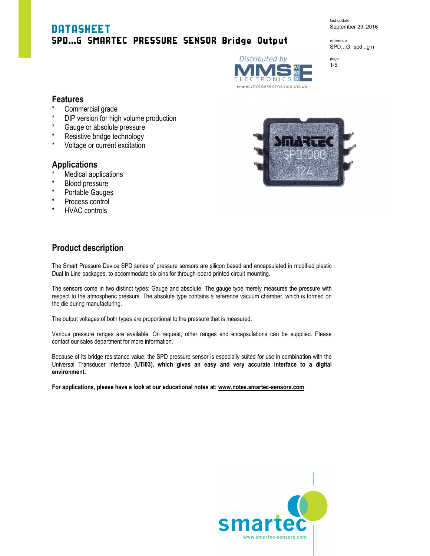# DATASHEET SPD…G SMARTEC PRESSURE SENSOR Bridge Output

last update September 29, 2016

reference SPD…G spd...g n





1/5

## **Features**

- Commercial grade
- \* DIP version for high volume production<br>\* Gauge or absolute prossure
- \* Gauge or absolute pressure
- \* Resistive bridge technology<br>\* Meltoge or europt excitation
- Voltage or current excitation

### **Applications**

- Medical applications
- **Blood pressure**
- \* Portable Gauges
- \* Process control
- **HVAC controls**



# **Product description**

The Smart Pressure Device SPD series of pressure sensors are silicon based and encapsulated in modified plastic Dual In Line packages, to accommodate six pins for through-board printed circuit mounting.

The sensors come in two distinct types: Gauge and absolute. The gauge type merely measures the pressure with respect to the atmospheric pressure. The absolute type contains a reference vacuum chamber, which is formed on the die during manufacturing.

The output voltages of both types are proportional to the pressure that is measured.

Various pressure ranges are available. On request, other ranges and encapsulations can be supplied. Please contact our sales department for more information.

Because of its bridge resistance value, the SPD pressure sensor is especially suited for use in combination with the Universal Transducer Interface **(UTI03), which gives an easy and very accurate interface to a digital environment.** 

**For applications, please have a look at our educational notes at: www.notes.smartec-sensors.com** 

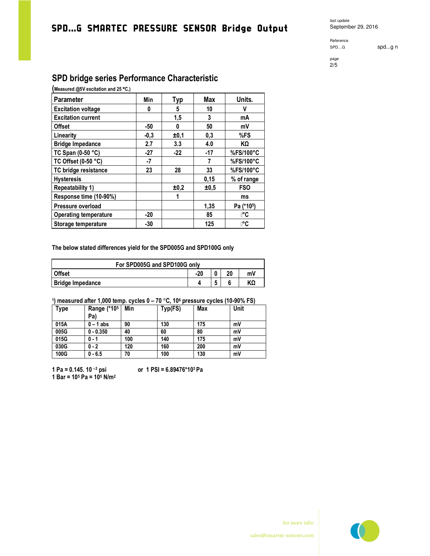# SPD…G SMARTEC PRESSURE SENSOR Bridge Output

last update September 29, 2016

Reference<br>SPD...G

spd...g n

#### page 2/5

# **SPD bridge series Performance Characteristic**

**(Measured @5V excitation and 25** °**C.)**

| Parameter                    | Min    | Тур   | Max  | Units.     |
|------------------------------|--------|-------|------|------------|
| <b>Excitation voltage</b>    | 0      | 5     | 10   | V          |
| <b>Excitation current</b>    |        | 1,5   | 3    | mA         |
| <b>Offset</b>                | -50    | 0     | 50   | mV         |
| Linearity                    | $-0,3$ | ±0,1  | 0,3  | %FS        |
| <b>Bridge Impedance</b>      | 2.7    | 3.3   | 4.0  | KΩ         |
| TC Span (0-50 °C)            | $-27$  | $-22$ | -17  | %FS/100°C  |
| TC Offset (0-50 °C)          | $-7$   |       |      | %FS/100°C  |
| TC bridge resistance         | 23     | 28    | 33   | %FS/100°C  |
| <b>Hysteresis</b>            |        |       | 0,15 | % of range |
| <b>Repeatability 1)</b>      |        | ±0,2  | ±0,5 | <b>FSO</b> |
| Response time (10-90%)       |        | 1     |      | ms         |
| Pressure overload            |        |       | 1,35 | Pa (*105)  |
| <b>Operating temperature</b> | $-20$  |       | 85   | ⊪°C        |
| Storage temperature          | $-30$  |       | 125  | ା°C        |

**The below stated differences yield for the SPD005G and SPD100G only** 

| For SPD005G and SPD100G only |     |  |    |    |  |  |
|------------------------------|-----|--|----|----|--|--|
| Offset                       | -20 |  | າດ | m٧ |  |  |
| <b>Bridge Impedance</b>      |     |  |    |    |  |  |

### **1 ) measured after 1,000 temp. cycles 0 – 70** °**C, 10<sup>6</sup> pressure cycles (10-90% FS)**

| <b>Type</b> | Range (*105<br>Pa) | Min | Typ(FS) | Max | Unit |
|-------------|--------------------|-----|---------|-----|------|
| 015A        | $0 - 1$ abs        | 90  | 130     | 175 | mV   |
| 005G        | $0 - 0.350$        | 40  | 60      | 80  | mV   |
| 015G        | $0 - 1$            | 100 | 140     | 175 | mV   |
| 030G        | $0 - 2$            | 120 | 160     | 200 | mV   |
| 100G        | $0 - 6.5$          | 70  | 100     | 130 | mV   |

**1 Pa = 0.145. 10 –3 psi or 1 PSI = 6.89476\*103 Pa 1 Bar = 10<sup>5</sup> Pa = 10<sup>5</sup> N/m<sup>2</sup>**



for more info: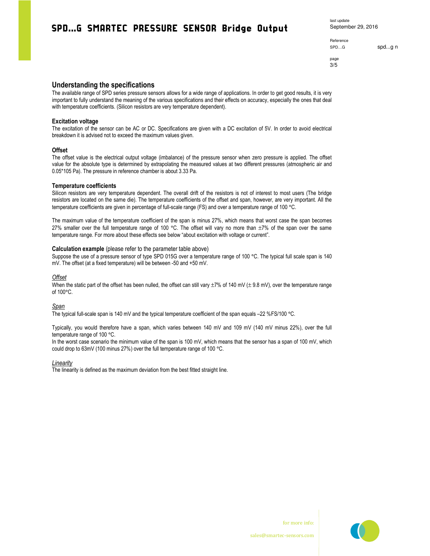# SPD…G SMARTEC PRESSURE SENSOR Bridge Output

Reference page

spd...g n spd...g n

3/5

### **Understanding the specifications**

The available range of SPD series pressure sensors allows for a wide range of applications. In order to get good results, it is very important to fully understand the meaning of the various specifications and their effects on accuracy, especially the ones that deal with temperature coefficients. (Silicon resistors are very temperature dependent).

### **Excitation voltage**

The excitation of the sensor can be AC or DC. Specifications are given with a DC excitation of 5V. In order to avoid electrical breakdown it is advised not to exceed the maximum values given.

#### **Offset**

The offset value is the electrical output voltage (imbalance) of the pressure sensor when zero pressure is applied. The offset value for the absolute type is determined by extrapolating the measured values at two different pressures (atmospheric air and 0.05\*105 Pa). The pressure in reference chamber is about 3.33 Pa.

#### **Temperature coefficients**

Silicon resistors are very temperature dependent. The overall drift of the resistors is not of interest to most users (The bridge resistors are located on the same die). The temperature coefficients of the offset and span, however, are very important. All the temperature coefficients are given in percentage of full-scale range (FS) and over a temperature range of 100 °C.

The maximum value of the temperature coefficient of the span is minus 27%, which means that worst case the span becomes 27% smaller over the full temperature range of 100 °C. The offset will vary no more than  $\pm 7\%$  of the span over the same temperature range. For more about these effects see below "about excitation with voltage or current".

#### **Calculation example** (please refer to the parameter table above)

Suppose the use of a pressure sensor of type SPD 015G over a temperature range of 100 °C. The typical full scale span is 140 mV. The offset (at a fixed temperature) will be between -50 and +50 mV.

#### *Offset*

When the static part of the offset has been nulled, the offset can still vary  $\pm 7\%$  of 140 mV ( $\pm$  9.8 mV), over the temperature range of 100°C.

*Span* 

The typical full-scale span is 140 mV and the typical temperature coefficient of the span equals –22 %FS/100 °C.

Typically, you would therefore have a span, which varies between 140 mV and 109 mV (140 mV minus 22%), over the full temperature range of 100 °C.

In the worst case scenario the minimum value of the span is 100 mV, which means that the sensor has a span of 100 mV, which could drop to 63mV (100 minus 27%) over the full temperature range of 100 °C.

*Linearity* 

The linearity is defined as the maximum deviation from the best fitted straight line.



for more info: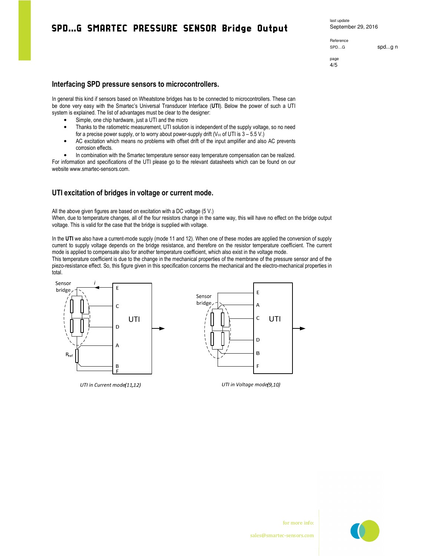# SPD…G SMARTEC PRESSURE SENSOR Bridge Output

last update September 29, 2016

Reference

spd...g n spd...g n

page 4/5

### **Interfacing SPD pressure sensors to microcontrollers.**

In general this kind if sensors based on Wheatstone bridges has to be connected to microcontrollers. These can be done very easy with the Smartec's Universal Transducer Interface (**UTI**). Below the power of such a UTI system is explained. The list of advantages must be clear to the designer:

- Simple, one chip hardware, just a UTI and the micro
- Thanks to the ratiometric measurement, UTI solution is independent of the supply voltage, so no need for a precise power supply, or to worry about power-supply drift ( $V_{cc}$  of UTI is  $3 - 5.5 V$ .)
- AC excitation which means no problems with offset drift of the input amplifier and also AC prevents corrosion effects.

• In combination with the Smartec temperature sensor easy temperature compensation can be realized. For information and specifications of the UTI please go to the relevant datasheets which can be found on our website www.smartec-sensors.com.

### **UTI excitation of bridges in voltage or current mode.**

All the above given figures are based on excitation with a DC voltage (5 V.) When, due to temperature changes, all of the four resistors change in the same way, this will have no effect on the bridge output voltage. This is valid for the case that the bridge is supplied with voltage.

In the **UTI** we also have a current-mode supply (mode 11 and 12). When one of these modes are applied the conversion of supply current to supply voltage depends on the bridge resistance, and therefore on the resistor temperature coefficient. The current mode is applied to compensate also for another temperature coefficient, which also exist in the voltage mode.

This temperature coefficient is due to the change in the mechanical properties of the membrane of the pressure sensor and of the piezo-resistance effect. So, this figure given in this specification concerns the mechanical and the electro-mechanical properties in total.



UTI in Current mode(11,12)



UTI in Voltage mode(9,10)



for more info: